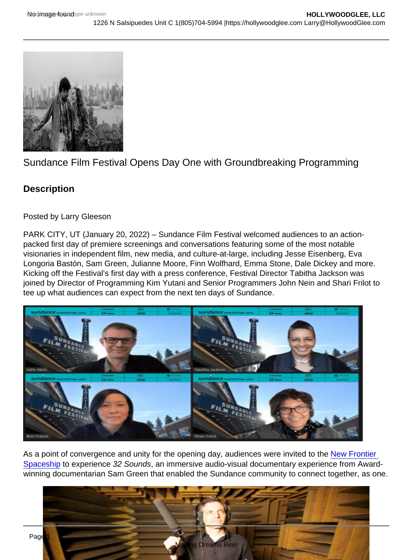## Sundance Film Festival Opens Day One with Groundbreaking Programming

**Description** 

Posted by Larry Gleeson

PARK CITY, UT (January 20, 2022) – Sundance Film Festival welcomed audiences to an actionpacked first day of premiere screenings and conversations featuring some of the most notable visionaries in independent film, new media, and culture-at-large, including Jesse Eisenberg, Eva Longoria Bastón, Sam Green, Julianne Moore, Finn Wolfhard, Emma Stone, Dale Dickey and more. Kicking off the Festival's first day with a press conference, Festival Director Tabitha Jackson was joined by Director of Programming Kim Yutani and Senior Programmers John Nein and Shari Frilot to tee up what audiences can expect from the next ten days of Sundance.

As a point of convergence and unity for the opening day, audiences were invited to the New Frontier [Spaceship](https://www.sundance.org/blogs/festival-blog/a-guide-to-navigating-new-frontiers-spaceship/) to experience 32 Sounds, an immersive audio-visual documentary experience from Awardwinning documentarian Sam Green that enabled the Sundance community to connect together, as one.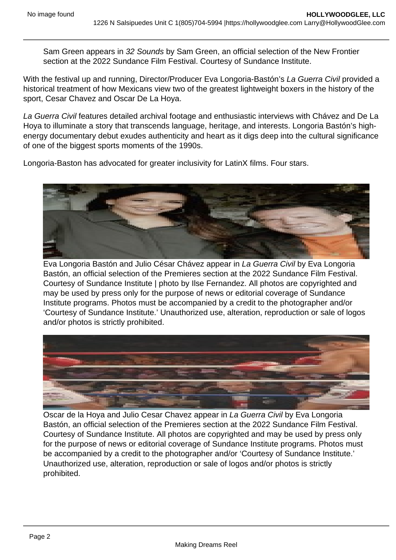Sam Green appears in 32 Sounds by Sam Green, an official selection of the New Frontier section at the 2022 Sundance Film Festival. Courtesy of Sundance Institute.

With the festival up and running, Director/Producer Eva Longoria-Bastón's La Guerra Civil provided a historical treatment of how Mexicans view two of the greatest lightweight boxers in the history of the sport, Cesar Chavez and Oscar De La Hoya.

La Guerra Civil features detailed archival footage and enthusiastic interviews with Chávez and De La Hoya to illuminate a story that transcends language, heritage, and interests. Longoria Bastón's highenergy documentary debut exudes authenticity and heart as it digs deep into the cultural significance of one of the biggest sports moments of the 1990s.

Longoria-Baston has advocated for greater inclusivity for LatinX films. Four stars.

Eva Longoria Bastón and Julio César Chávez appear in La Guerra Civil by Eva Longoria Bastón, an official selection of the Premieres section at the 2022 Sundance Film Festival. Courtesy of Sundance Institute | photo by Ilse Fernandez. All photos are copyrighted and may be used by press only for the purpose of news or editorial coverage of Sundance Institute programs. Photos must be accompanied by a credit to the photographer and/or 'Courtesy of Sundance Institute.' Unauthorized use, alteration, reproduction or sale of logos and/or photos is strictly prohibited.

Oscar de la Hoya and Julio Cesar Chavez appear in La Guerra Civil by Eva Longoria Bastón, an official selection of the Premieres section at the 2022 Sundance Film Festival. Courtesy of Sundance Institute. All photos are copyrighted and may be used by press only for the purpose of news or editorial coverage of Sundance Institute programs. Photos must be accompanied by a credit to the photographer and/or 'Courtesy of Sundance Institute.' Unauthorized use, alteration, reproduction or sale of logos and/or photos is strictly prohibited.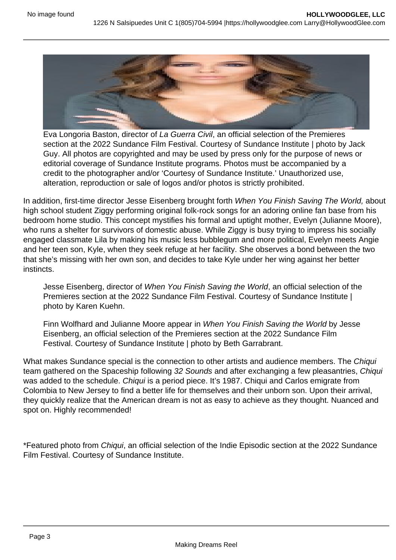Eva Longoria Baston, director of La Guerra Civil, an official selection of the Premieres section at the 2022 Sundance Film Festival. Courtesy of Sundance Institute | photo by Jack Guy. All photos are copyrighted and may be used by press only for the purpose of news or editorial coverage of Sundance Institute programs. Photos must be accompanied by a credit to the photographer and/or 'Courtesy of Sundance Institute.' Unauthorized use, alteration, reproduction or sale of logos and/or photos is strictly prohibited.

In addition, first-time director Jesse Eisenberg brought forth When You Finish Saving The World, about high school student Ziggy performing original folk-rock songs for an adoring online fan base from his bedroom home studio. This concept mystifies his formal and uptight mother, Evelyn (Julianne Moore), who runs a shelter for survivors of domestic abuse. While Ziggy is busy trying to impress his socially engaged classmate Lila by making his music less bubblegum and more political, Evelyn meets Angie and her teen son, Kyle, when they seek refuge at her facility. She observes a bond between the two that she's missing with her own son, and decides to take Kyle under her wing against her better instincts.

Jesse Eisenberg, director of When You Finish Saving the World, an official selection of the Premieres section at the 2022 Sundance Film Festival. Courtesy of Sundance Institute | photo by Karen Kuehn.

Finn Wolfhard and Julianne Moore appear in When You Finish Saving the World by Jesse Eisenberg, an official selection of the Premieres section at the 2022 Sundance Film Festival. Courtesy of Sundance Institute | photo by Beth Garrabrant.

What makes Sundance special is the connection to other artists and audience members. The Chiqui team gathered on the Spaceship following 32 Sounds and after exchanging a few pleasantries, Chiqui was added to the schedule. Chiqui is a period piece. It's 1987. Chiqui and Carlos emigrate from Colombia to New Jersey to find a better life for themselves and their unborn son. Upon their arrival, they quickly realize that the American dream is not as easy to achieve as they thought. Nuanced and spot on. Highly recommended!

\*Featured photo from Chiqui, an official selection of the Indie Episodic section at the 2022 Sundance Film Festival. Courtesy of Sundance Institute.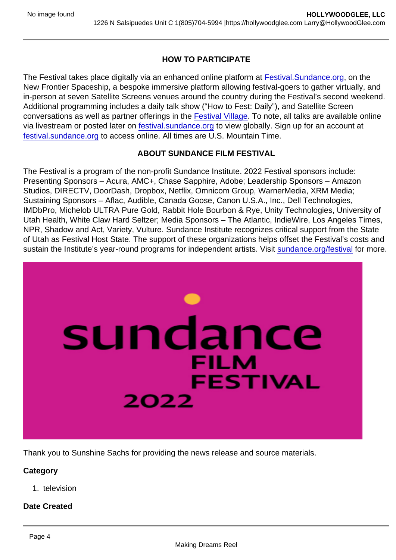## HOW TO PARTICIPATE

The Festival takes place digitally via an enhanced online platform at [Festival.Sundance.org](http://festival.sundance.org/), on the New Frontier Spaceship, a bespoke immersive platform allowing festival-goers to gather virtually, and in-person at seven Satellite Screens venues around the country during the Festival's second weekend. Additional programming includes a daily talk show ("How to Fest: Daily"), and Satellite Screen conversations as well as partner offerings in the [Festival Village](https://festival.sundance.org/village). To note, all talks are available online via livestream or posted later on [festival.sundance.org](https://festival.sundance.org/) to view globally. Sign up for an account at [festival.sundance.org](https://festival.sundance.org/) to access online. All times are U.S. Mountain Time.

## ABOUT SUNDANCE FILM FESTIVAL

The Festival is a program of the non-profit Sundance Institute. 2022 Festival sponsors include: Presenting Sponsors – Acura, AMC+, Chase Sapphire, Adobe; Leadership Sponsors – Amazon Studios, DIRECTV, DoorDash, Dropbox, Netflix, Omnicom Group, WarnerMedia, XRM Media; Sustaining Sponsors – Aflac, Audible, Canada Goose, Canon U.S.A., Inc., Dell Technologies, IMDbPro, Michelob ULTRA Pure Gold, Rabbit Hole Bourbon & Rye, Unity Technologies, University of Utah Health, White Claw Hard Seltzer; Media Sponsors – The Atlantic, IndieWire, Los Angeles Times, NPR, Shadow and Act, Variety, Vulture. Sundance Institute recognizes critical support from the State of Utah as Festival Host State. The support of these organizations helps offset the Festival's costs and sustain the Institute's year-round programs for independent artists. Visit [sundance.org/festival](https://festival.sundance.org/) for more.

Thank you to Sunshine Sachs for providing the news release and source materials.

**Category** 

1. television

Date Created